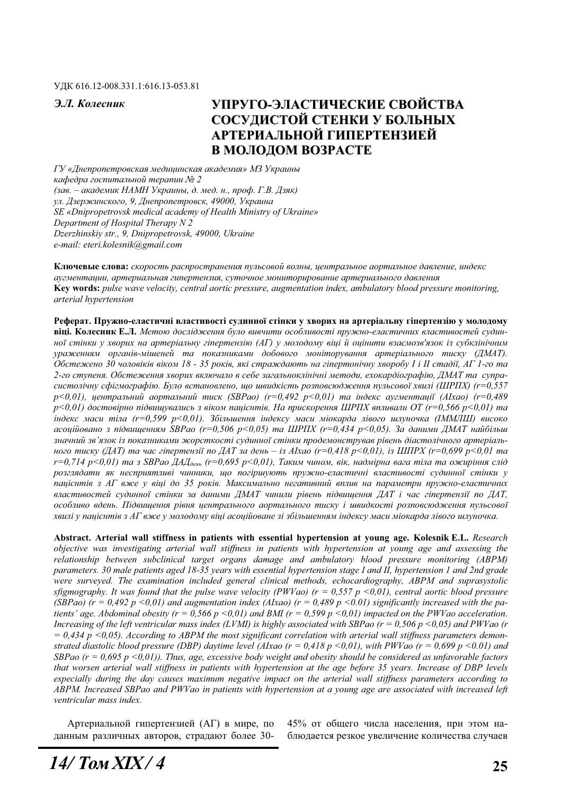#### ɍȾɄ 616.12-008.331.1:616.13-053.81

# Э.Л. Колесник УПРУГО-ЭЛАСТИЧЕСКИЕ СВОЙСТВА СОСУЛИСТОЙ СТЕНКИ У БОЛЬНЫХ **АРТЕРИАЛЬНОЙ ГИПЕРТЕНЗИЕЙ В МОЛОДОМ ВОЗРАСТЕ**

 $\Gamma$ У «Днепропетровская медицинская академия» МЗ Украины кафедра госпитальной терапии № 2 (зав. – академик НАМН Украины, д. мед. н., проф. Г.В. Дзяк) ул. Дзержинского, 9, Днепропетровск, 49000, Украина *SE «Dnipropetrovsk medical academy of Health Ministry of Ukraine» Department of Hospital Therapy N 2 Dzerzhinskiy str., 9, Dnipropetrovsk, 49000, Ukraine e-mail: eteri.kolesnik@gmail.com* 

Ключевые слова: скорость распространения пульсовой волны, центральное аортальное давление, индекс  $ayz$ ментации, артериальная гипертензия, суточное мониторирование артериального давления **Key words:** *pulse wave velocity, central aortic pressure, augmentation index, ambulatory blood pressure monitoring, arterial hypertension* 

Реферат. Пружно-еластичні властивості судинної стінки у хворих на артеріальну гіпертензію у молодому **віці. Колесник Е.Л.** Метою дослідження було вивчити особливості пружно-еластичних властивостей судин*ної стінки у хворих на артеріальну гіпертензію (АГ) у молодому віці й оцінити взаємозв'язок із субклінічним* ураженням органів-мішеней та показниками добового моніторування артеріального тиску (ДМАТ). *Ɉɛɫɬɟɠɟɧɨ 30 ɱɨɥɨɜɿɤɿɜ ɜɿɤɨɦ 18 - 35 ɪɨɤɿɜ, ɹɤɿ ɫɬɪɚɠɞɚɸɬɶ ɧɚ ɝɿɩɟɪɬɨɧɿɱɧɭ ɯɜɨɪɨɛɭ I ɿ II ɫɬɚɞɿʀ, ȺȽ 1-ɝɨ ɬɚ* 2-го ступеня. Обстеження хворих включало в себе загальноклінічні методи, ехокардіографію, ДМАТ та супра*ɫɢɫɬɨɥɿɱɧɭ ɫɮɿɝɦɨɝɪɚɮɿɸ. Ȼɭɥɨ ɜɫɬɚɧɨɜɥɟɧɨ, ɳɨ ɲɜɢɞɤɿɫɬɶ ɪɨɡɩɨɜɫɸɞɠɟɧɧɹ ɩɭɥɶɫɨɜɨʀ ɯɜɢɥɿ (ɒɊɉɏ) (r=0,557 p*<0,01), иентральний аортальний тиск (SBPao) (r=0,492 p<0,01) та індекс аугментації (AIxao) (r=0,489  $p<0,01$ ) достовірно підвищувались з віком пацієнтів. На прискорення ШРПХ впливали ОТ (r=0,566 p<0,01) та  $i$ *ндекс маси тіла (r=0,599 p<0,01). Збільшення індексу маси міокарда лівого шлуночка (IMMJIII) високо*  $acou\tilde{a}$ *асоційовано з підвищенням SBPao (r=0,506 p<0,05) та ШРПХ (r=0,434 p<0,05). За даними ДМАТ найбільш* значний зв'язок із показниками жорсткості судинної стінки продемонстрував рівень діастолічного артеріаль- $\mu$ дого тиску (ДАТ) та час гіпертензії по ДАТ за день – із АІхао (r=0,418 p<0,01), із ШПРХ (r=0,699 p<0,01 ma *r*=0,714 p<0,01) та з SBPao ДАД<sub>день</sub> (r=0,695 p<0,01), Таким чином, вік, надмірна вага тіла та ожиріння слід розглядати як несприятливі чинники, що погіршують пружно-еластичні властивості судинної стінки у пацієнтів з АГ вже у віці до 35 років. Максимально негативний вплив на параметри пружно-еластичних *ɜɥɚɫɬɢɜɨɫɬɟɣ ɫɭɞɢɧɧɨʀ ɫɬɿɧɤɢ ɡɚ ɞɚɧɢɦɢ ȾɆȺɌ ɱɢɧɢɥɢ ɪɿɜɟɧɶ ɩɿɞɜɢɳɟɧɧɹ ȾȺɌ ɿ ɱɚɫ ɝɿɩɟɪɬɟɧɡɿʀ ɩɨ ȾȺɌ, особливо вдень. Підвищення рівня центрального аортального тиску і швидкості розповсюдження пульсової* хвилі у пацієнтів з АГ вже у молодому віці асоційоване зі збільшенням індексу маси міокарда лівого шлуночка.

**Abstract. Arterial wall stiffness in patients with essential hypertension at young age. Kolesnik E.L.** *Research objective was investigating arterial wall stiffness in patients with hypertension at young age and assessing the relationship between subclinical target organs damage and ambulatory blood pressure monitoring (ABPM) parameters. 30 male patients aged 18-35 years with essential hypertension stage I and II, hypertension 1 and 2nd grade were surveyed. The examination included general clinical methods, echocardiography, ABPM and suprasystolic sfigmography. It was found that the pulse wave velocity (PWVao) (r = 0,557 p <0,01), central aortic blood pressure*  (SBPao) ( $r = 0.492$  p <0,01) and augmentation index (AIxao) ( $r = 0.489$  p <0.01) significantly increased with the pa*tients' age. Abdominal obesity (r = 0,566 p <0,01) and BMI (r = 0,599 p <0,01) impacted on the PWVao acceleration. Increasing of the left ventricular mass index (LVMI) is highly associated with SBPao (r = 0,506 p <0,05) and PWVao (r = 0,434 p <0,05). According to ABPM the most significant correlation with arterial wall stiffness parameters demonstrated diastolic blood pressure (DBP) daytime level (AIxao (r = 0,418 p <0,01), with PWVao (r = 0,699 p <0.01) and SBPao (r = 0,695 p <0,01)). Thus, age, excessive body weight and obesity should be considered as unfavorable factors that worsen arterial wall stiffness in patients with hypertension at the age before 35 years. Increase of DBP levels especially during the day causes maximum negative impact on the arterial wall stiffness parameters according to ABPM. Increased SBPao and PWVao in patients with hypertension at a young age are associated with increased left ventricular mass index.* 

Артериальной гипертензией (АГ) в мире, по данным различных авторов, страдают более 3045% от общего числа населения, при этом наблюдается резкое увеличение количества случаев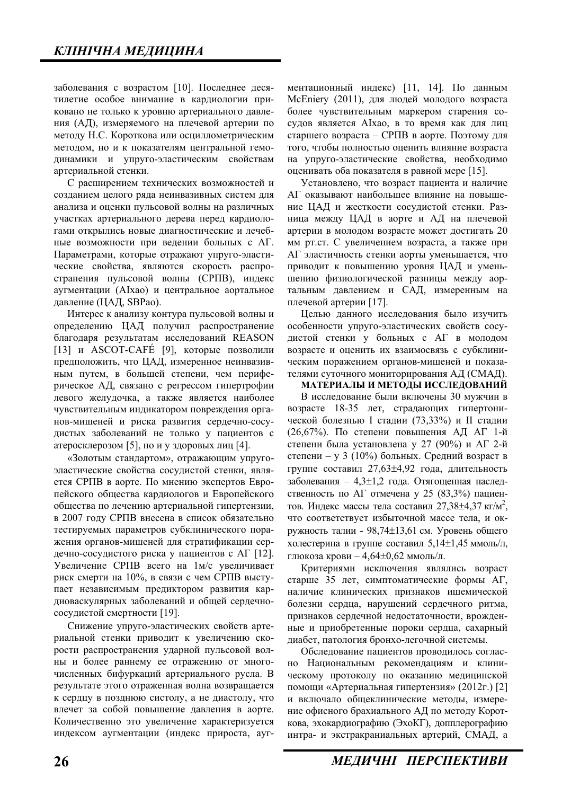заболевания с возрастом [10]. Последнее десятилетие особое внимание в кардиологии приковано не только к уровню артериального давления (АД), измеряемого на плечевой артерии по методу Н.С. Короткова или осциллометрическим методом, но и к показателям центральной гемодинамики и упруго-эластическим свойствам артериальной стенки.

С расширением технических возможностей и созданием целого ряда неинвазивных систем для анализа и оценки пульсовой волны на различных участках артериального дерева перед кардиологами открылись новые диагностические и лечебные возможности при ведении больных с АГ. Параметрами, которые отражают упруго-эластические свойства, являются скорость распространения пульсовой волны (СРПВ), индекс аугментации (AIxao) и центральное аортальное давление (ЦАД, SBPao).

Интерес к анализу контура пульсовой волны и определению ЦАД получил распространение благодаря результатам исследований REASON  $[13]$  и ASCOT-CAFÉ  $[9]$ , которые позволили предположить, что ЦАД, измеренное неинвазивным путем, в большей степени, чем периферическое АД, связано с регрессом гипертрофии левого желудочка, а также является наиболее чувствительным индикатором повреждения органов-мишеней и риска развития сердечно-сосудистых заболеваний не только у пациентов с атеросклерозом [5], но и у здоровых лиц [4].

«Золотым стандартом», отражающим упругоэластические свойства сосудистой стенки, является СРПВ в аорте. По мнению экспертов Европейского общества кардиологов и Европейского общества по лечению артериальной гипертензии, в 2007 году СРПВ внесена в список обязательно тестируемых параметров субклинического поражения органов-мишеней для стратификации сердечно-сосудистого риска у пациентов с АГ [12]. Увеличение СРПВ всего на 1м/с увеличивает риск смерти на  $10\%$ , в связи с чем СРПВ выступает независимым предиктором развития кардиоваскулярных заболеваний и общей сердечнососудистой смертности [19].

Снижение упруго-эластических свойств артериальной стенки приводит к увеличению скорости распространения ударной пульсовой волны и более раннему ее отражению от многочисленных бифуркаций артериального русла. В результате этого отраженная волна возвращается к сердцу в позднюю систолу, а не диастолу, что влечет за собой повышение давления в аорте. Количественно это увеличение характеризуется индексом аугментации (индекс прироста, аугментационный индекс) [11, 14]. По данным McEniery (2011), для людей молодого возраста более чувствительным маркером старения сосудов является AIxao, в то время как для лиц старшего возраста – СРПВ в аорте. Поэтому для того, чтобы полностью оценить влияние возраста на упруго-эластические свойства, необходимо оценивать оба показателя в равной мере [15].

Установлено, что возраст пациента и наличие АГ оказывают наибольшее влияние на повышение ЦАД и жесткости сосудистой стенки. Разница между ЦАД в аорте и АД на плечевой артерии в молодом возрасте может достигать 20 мм рт.ст. С увеличением возраста, а также при АГ эластичность стенки аорты уменьшается, что приводит к повышению уровня ЦАД и уменьшению физиологической разницы между аортальным давлением и САД, измеренным на плечевой артерии [17].

Целью данного исследования было изучить особенности упруго-эластических свойств сосудистой стенки у больных с АГ в молодом возрасте и оценить их взаимосвязь с субклиническим поражением органов-мишеней и показателями суточного мониторирования АД (СМАД).

## МАТЕРИАЛЫ И МЕТОДЫ ИССЛЕДОВАНИЙ

В исследование были включены 30 мужчин в возрасте 18-35 лет, страдающих гипертонической болезнью I стадии (73,33%) и II стадии (26,67%). По степени повышения АД АГ 1-й степени была установлена у 27 (90%) и АГ 2-й степени – у 3 (10%) больных. Средний возраст в группе составил 27,63±4,92 года, длительность заболевания – 4,3 $\pm$ 1,2 года. Отягощенная наследственность по АГ отмечена у 25 (83,3%) пациентов. Индекс массы тела составил 27,38 $\pm$ 4,37 кг/м<sup>2</sup>, что соответствует избыточной массе тела, и окружность талии - 98,74±13,61 см. Уровень общего холестерина в группе составил  $5.14\pm1.45$  ммоль/л, глюкоза крови – 4,64 $\pm$ 0,62 ммоль/л.

Критериями исключения являлись возраст старше 35 лет, симптоматические формы АГ, наличие клинических признаков ишемической болезни сердца, нарушений сердечного ритма, признаков сердечной недостаточности, врожденные и приобретенные пороки сердца, сахарный диабет, патология бронхо-легочной системы.

Обследование пациентов проводилось согласно Национальным рекомендациям и клиническому протоколу по оказанию медицинской помощи «Артериальная гипертензия» (2012г.) [2] и включало обшеклинические метолы, измерение офисного брахиального АД по методу Короткова, эхокардиографию (ЭхоКГ), допплерографию интра- и экстракраниальных артерий, СМАД, а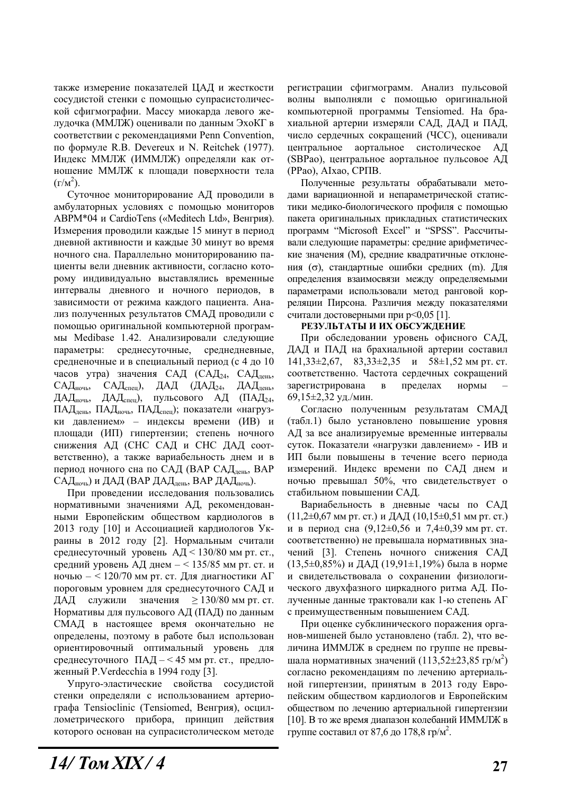также измерение показателей ЦАД и жесткости сосудистой стенки с помощью супрасистолической сфигмографии. Массу миокарда левого желудочка (ММЛЖ) оценивали по данным ЭхоКГ в соответствии с рекомендациями Penn Convention, по формуле R.B. Devereux и N. Reitchek (1977). Индекс ММЛЖ (ИММЛЖ) определяли как отношение ММЛЖ к плошали поверхности тела  $(\Gamma/M^2)$ .

Суточное мониторирование АД проводили в амбулаторных условиях с помощью мониторов ABPM\*04 и CardioTens («Meditech Ltd», Венгрия). Измерения проводили каждые 15 минут в период дневной активности и каждые 30 минут во время ночного сна. Параллельно мониторированию пациенты вели дневник активности, согласно которому индивидуально выставлялись временные интервалы дневного и ночного периодов, в зависимости от режима каждого пациента. Анализ полученных результатов СМАД проводили с помощью оригинальной компьютерной программы Medibase 1.42. Анализировали следующие параметры: среднесуточные, среднедневные, средненочные и в специальный период (с 4 до 10 часов утра) значения САД (САД<sub>24</sub>, САД<sub>день</sub>, САД<sub>ночь</sub>, САД<sub>спен</sub>), ДАД (ДАД<sub>24</sub>, ДАД<sub>лень</sub>, ДАД<sub>ночь</sub>, ДАД<sub>спен</sub>), пульсового АД (ПАД<sub>24</sub>, ПАД<sub>лень</sub>, ПАД<sub>ночь</sub>, ПАД<sub>спен</sub>); показатели «нагрузки давлением» – индексы времени (ИВ) и площади (ИП) гипертензии; степень ночного снижения АД (СНС САД и СНС ДАД соответственно), а также вариабельность днем и в период ночного сна по САД (ВАР САД<sub>день</sub>, ВАР САД<sub>ночь</sub>) и ДАД (ВАР ДАД<sub>лень</sub>, ВАР ДАД<sub>ночь</sub>).

При проведении исследования пользовались нормативными значениями АД, рекомендованными Европейским обществом кардиологов в 2013 году [10] и Ассоциацией кардиологов Украины в 2012 году [2]. Нормальным считали среднесуточный уровень  $A/I < 130/80$  мм рт. ст., средний уровень АД днем  $-$  < 135/85 мм рт. ст. и ночью  $- < 120/70$  мм рт. ст. Для диагностики АГ пороговым уровнем для среднесуточного САД и ДАД служили значения  $\geq 130/80$  мм рт. ст. Нормативы для пульсового АД (ПАД) по данным СМАД в настоящее время окончательно не определены, поэтому в работе был использован ориентировочный оптимальный уровень для среднесуточного ПАД  $-$  < 45 мм рт. ст., предложенный P.Verdecchia в 1994 году [3].

Упруго-эластические свойства сосудистой стенки определяли с использованием артериографа Tensioclinic (Tensiomed, Венгрия), осциллометрического прибора, принцип действия которого основан на супрасистолическом методе регистрации сфигмограмм. Анализ пульсовой волны выполняли с помощью оригинальной компьютерной программы Tensiomed. На брахиальной артерии измеряли САД, ДАД и ПАД, число сердечных сокращений (ЧСС), оценивали центральное аортальное систолическое АД (SBPao), центральное аортальное пульсовое АД (PPao), AIxao, CPITB.

Полученные результаты обрабатывали методами вариационной и непараметрической статистики медико-биологического профиля с помощью пакета оригинальных прикладных статистических программ "Microsoft Excel" и "SPSS". Рассчитывали следующие параметры: средние арифметические значения (М), средние квадратичные отклонения ( $\sigma$ ), стандартные ошибки средних (m). Для определения взаимосвязи между определяемыми параметрами использовали метод ранговой корреляции Пирсона. Различия между показателями считали достоверными при р<0,05 [1].

## РЕЗУЛЬТАТЫ И ИХ ОБСУЖДЕНИЕ

При обследовании уровень офисного САД, ДАД и ПАД на брахиальной артерии составил  $141,33\pm2,67$ ,  $83,33\pm2,35$   $\mu$   $58\pm1,52$  MM pt. ct. соответственно. Частота сердечных сокращений зарегистрирована в пределах нормы 69,15±2,32 уд./мин.

Согласно полученным результатам СМАД (табл.1) было установлено повышение уровня АД за все анализируемые временные интервалы суток. Показатели «нагрузки давлением» - ИВ и ИП были повышены в течение всего периода измерений. Индекс времени по САД днем и ночью превышал 50%, что свидетельствует о стабильном повышении САД.

Вариабельность в дневные часы по САД  $(11,2\pm 0.67$  мм рт. ст.) и ДАД  $(10,15\pm 0.51$  мм рт. ст.) и в период сна  $(9,12\pm0,56 \text{ m } 7,4\pm0,39 \text{ nm})$  рт. ст. соответственно) не превышала нормативных значений [3]. Степень ночного снижения САД  $(13,5\pm0,85\%)$  и ДАД  $(19,91\pm1,19\%)$  была в норме и свидетельствовала о сохранении физиологического двухфазного циркадного ритма АД. Полученные данные трактовали как 1-ю степень АГ с преимущественным повышением САД.

При оценке субклинического поражения органов-мишеней было установлено (табл. 2), что величина ИММЛЖ в среднем по группе не превышала нормативных значений (113,52 $\pm$ 23,85 гр/м<sup>2</sup>) согласно рекомендациям по лечению артериальной гипертензии, принятым в 2013 году Европейским обществом кардиологов и Европейским обществом по лечению артериальной гипертензии [10]. В то же время диапазон колебаний ИММЛЖ в группе составил от 87,6 до 178,8 гр/м<sup>2</sup>.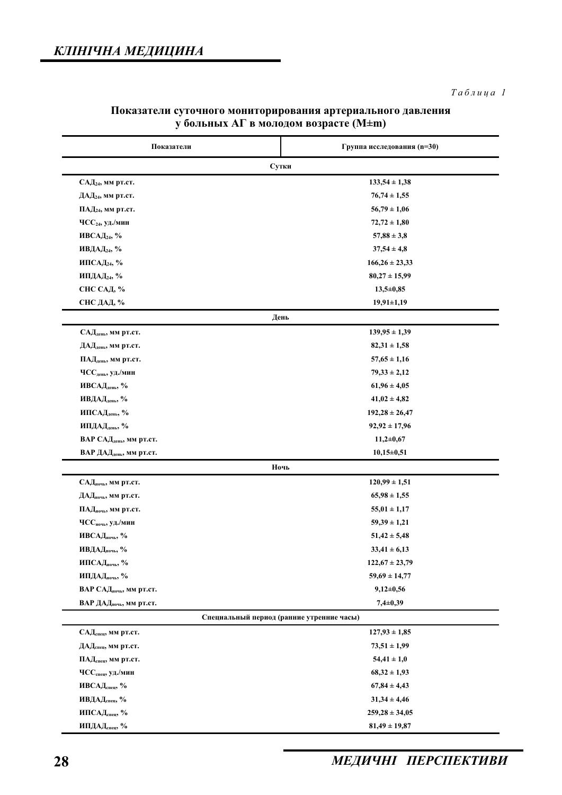| Показатели                                        | Группа исследования (n=30) |  |
|---------------------------------------------------|----------------------------|--|
| Сутки                                             |                            |  |
| $CAJ24$ , мм рт.ст.                               | $133,54 \pm 1,38$          |  |
| ДАД <sub>24</sub> , мм рт.ст.                     | $76,74 \pm 1,55$           |  |
| ПАД <sub>24</sub> , мм рт.ст.                     | $56,79 \pm 1,06$           |  |
| $\mathrm{YCC}_{24}$ , уд./мин                     | $72,72 \pm 1,80$           |  |
| ИВСАД <sub>24</sub> , %                           | $57,88 \pm 3,8$            |  |
| ИВДАД24, %                                        | $37,54 \pm 4,8$            |  |
| ИПСАД24, %                                        | $166,26 \pm 23,33$         |  |
| ИПДАД24, %                                        | $80,27 \pm 15,99$          |  |
| СНС САД, %                                        | $13,5+0,85$                |  |
| СНС ДАД, %                                        | $19,91 \pm 1,19$           |  |
|                                                   | День                       |  |
| САД <sub>день</sub> , мм рт.ст.                   | $139,95 \pm 1,39$          |  |
| ДАД <sub>день</sub> , мм рт.ст.                   | $82,31 \pm 1,58$           |  |
| ПАД <sub>день</sub> , мм рт.ст.                   | $57,65 \pm 1,16$           |  |
| $\mathrm{YCC}_{\mathrm{genb}}, \mathrm{y}$ д./мин | $79,33 \pm 2,12$           |  |
| ИВСАД <sub>день</sub> , %                         | $61,96 \pm 4,05$           |  |
| ИВДАД <sub>день</sub> , %                         | $41,02 \pm 4,82$           |  |
| ИПСАДдень, %                                      | $192,28 \pm 26,47$         |  |
| ИПДАД <sub>день</sub> , %                         | $92,92 \pm 17,96$          |  |
| ВАР САД <sub>день</sub> , мм рт.ст.               | $11,2+0,67$                |  |
| ВАР ДАД <sub>день</sub> , мм рт.ст.               | $10,15\pm0,51$             |  |
|                                                   | Ночь                       |  |
| САДночь, мм рт.ст.                                | $120,99 \pm 1,51$          |  |
| ДАД <sub>ночь</sub> , мм рт.ст.                   | $65,98 \pm 1,55$           |  |
| ПАД <sub>ночь</sub> , мм рт.ст.                   | $55,01 \pm 1,17$           |  |
| ЧСС <sub>ночь</sub> , уд./мин                     | $59,39 \pm 1,21$           |  |
| ИВСАДночь, %                                      | $51,42 \pm 5,48$           |  |
| ИВДАДночь, %                                      | $33,41 \pm 6,13$           |  |
| ИПСАДночь, %                                      | $122,67 \pm 23,79$         |  |
| ИПДАДночь, %                                      | $59,69 \pm 14,77$          |  |
| ВАР САД <sub>ночь</sub> , мм рт.ст.               | $9,12\pm0,56$              |  |
| ВАР ДАД <sub>ночь</sub> , мм рт.ст.               | $7,4\pm0,39$               |  |
| Специальный период (ранние утренние часы)         |                            |  |
| САДспец, мм рт.ст.                                | $127,93 \pm 1,85$          |  |
| ДАД <sub>спец</sub> , мм рт.ст.                   | $73,51 \pm 1,99$           |  |
| ПАД <sub>спец</sub> , мм рт.ст.                   | $54,41 \pm 1,0$            |  |
| ЧСС <sub>спец</sub> , уд./мин                     | $68,32 \pm 1,93$           |  |
| ИВСАДспец, %                                      | $67,84 \pm 4,43$           |  |
| ИВДАД <sub>спец</sub> , %                         | $31,34 \pm 4,46$           |  |
| ИПСАД <sub>спец</sub> , %                         | $259,28 \pm 34,05$         |  |
| ИПДАДспец, %                                      | $81,49 \pm 19,87$          |  |

# Показатели суточного мониторирования артериального давления у больных АГ в молодом возрасте (M±m)

# **28 МЕДИЧНІ ПЕРСПЕКТИВИ**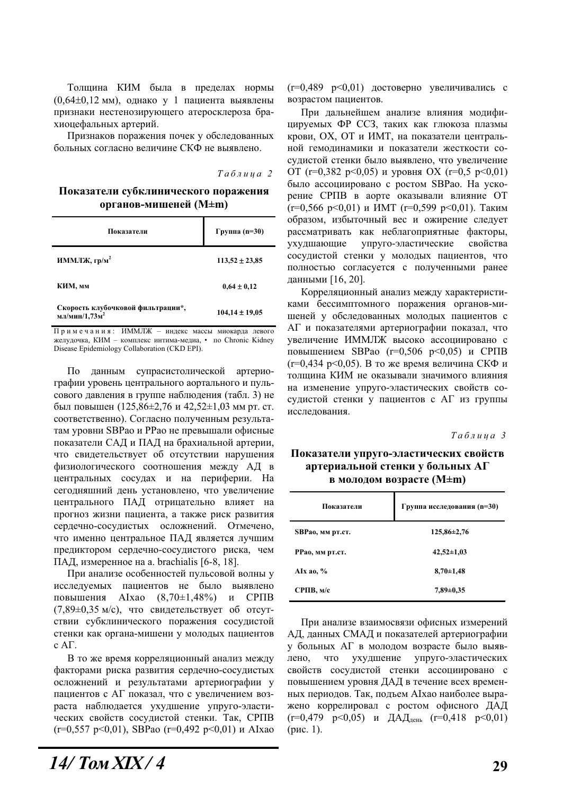Толщина КИМ была в пределах нормы  $(0.64\pm0.12 \text{ MM})$ , однако у 1 пациента выявлены признаки нестенозирующего атеросклероза брахиоцефальных артерий.

Признаков поражения почек у обследованных больных согласно величине СКФ не выявлено.

 $Ta6\nu u u a 2$ 

Показатели субклинического поражения  $\Phi$ **ытанов-мишеней** (M±m)

| Показатели                                                     | Группа (n=30)      |
|----------------------------------------------------------------|--------------------|
| ИММЛЖ, гр/м <sup>2</sup>                                       | $113,52 \pm 23,85$ |
| КИМ, мм                                                        | $0.64 \pm 0.12$    |
| Скорость клубочковой фильтрации*,<br>мл/мин/1,73м <sup>2</sup> | $104,14 \pm 19,05$ |

 $\Pi$ римечания: ИММЛЖ – индекс массы миокарда левого желудочка, КИМ - комплекс интима-медиа, • по Chronic Kidney Disease Epidemiology Collaboration (CKD EPI).

По данным супрасистолической артериографии уровень центрального аортального и пульсового давления в группе наблюдения (табл. 3) не был повышен (125,86 $\pm$ 2,76 и 42,52 $\pm$ 1,03 мм рт. ст. соответственно). Согласно полученным результатам уровни SBPао и PPао не превышали офисные показатели САД и ПАД на брахиальной артерии, что свидетельствует об отсутствии нарушения физиологического соотношения между АД в центральных сосудах и на периферии. На сегодняшний день установлено, что увеличение центрального ПАД отрицательно влияет на прогноз жизни пациента, а также риск развития сердечно-сосудистых осложнений. Отмечено, что именно центральное ПАД является лучшим предиктором сердечно-сосудистого риска, чем ПАД, измеренное на a. brachialis  $[6-8, 18]$ .

При анализе особенностей пульсовой волны у исследуемых пациентов не было выявлено повышения АІхао (8,70 $\pm$ 1,48%) и СРПВ (7,89±0,35 м/с), что свидетельствует об отсутствии субклинического поражения сосудистой стенки как органа-мишени у молодых пациентов  $c$  A $\Gamma$ .

В то же время корреляционный анализ между факторами риска развития сердечно-сосудистых осложнений и результатами артериографии у пациентов с АГ показал, что с увеличением возраста наблюдается ухудшение упруго-эластических свойств сосудистой стенки. Так, СРПВ  $(r=0.557 \text{ p} < 0.01)$ , SBPao  $(r=0.492 \text{ p} < 0.01)$   $\text{M}$  AIxao  $(r=0,489 \, p<0,01)$  достоверно увеличивались с возрастом пациентов.

При дальнейшем анализе влияния модифииируемых ФР ССЗ, таких как глюкоза плазмы крови, ОХ, ОТ и ИМТ, на показатели центральной гемодинамики и показатели жесткости сосудистой стенки было выявлено, что увеличение ОТ ( $r=0,382$   $p<0,05$ ) и уровня ОХ ( $r=0,5$   $p<0,01$ ) было ассоциировано с ростом SBPao. На ускорение СРПВ в аорте оказывали влияние ОТ  $(r=0,566 \text{ p} < 0,01)$  и ИМТ  $(r=0,599 \text{ p} < 0,01)$ . Таким образом, избыточный вес и ожирение следует рассматривать как неблагоприятные факторы, ухудшающие упруго-эластические свойства сосудистой стенки у молодых пациентов, что полностью согласуется с полученными ранее данными [16, 20].

Корреляционный анализ между характеристиками бессимптомного поражения органов-мишеней у обследованных молодых пациентов с АГ и показателями артериографии показал, что увеличение ИММЛЖ высоко ассоциировано с повышением SBPao ( $r=0,506$   $p<0,05$ ) и СРПВ ( $r=0,434$  p<0,05). В то же время величина СКФ и толщина КИМ не оказывали значимого влияния на изменение упруго-эластических свойств сосудистой стенки у пациентов с АГ из группы исследования.

 $Ta6$ лииа 3

# Показатели упруго-эластических свойств артериальной стенки у больных АГ **в молодом возрасте (M±m)**

| Показатели       | Группа исследования (n=30) |
|------------------|----------------------------|
| SBPao, мм рт.ст. | $125,86 \pm 2,76$          |
| РРао, мм рт.ст.  | $42,52 \pm 1,03$           |
| AIx ao, $%$      | $8,70 \pm 1,48$            |
| CPIIB, M/c       | $7,89\pm0.35$              |

При анализе взаимосвязи офисных измерений АД, данных СМАД и показателей артериографии у больных АГ в молодом возрасте было выявлено, что ухудшение упруго-эластических свойств сосудистой стенки ассоциировано с повышением уровня ДАД в течение всех временных периодов. Так, подъем АIхао наиболее выражено коррелировал с ростом офисного ДАД  $(r=0.479 \text{ p} < 0.05)$   $\text{M}$   $\text{AAL}_{\text{ACHb}}$   $(r=0.418 \text{ p} < 0.01)$  $(pnc. 1)$ .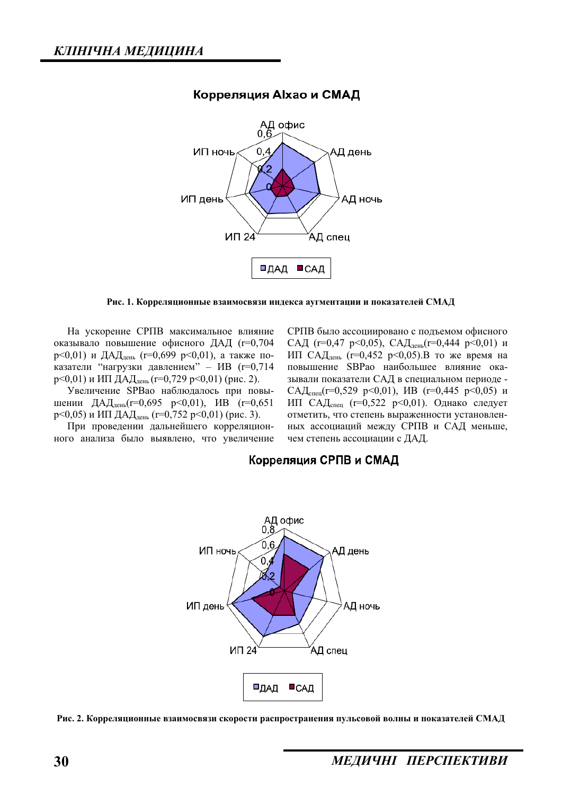

# Корреляция Alxao и СМАД

#### Рис. 1. Корреляционные взаимосвязи индекса аугментации и показателей СМАД

На ускорение СРПВ максимальное влияние оказывало повышение офисного ДАД (r=0,704 р<0,01) и ДАД<sub>день</sub> (r=0,699 p<0,01), а также показатели "нагрузки давлением" – ИВ (r=0,714 р<0,01) и ИП ДАД<sub>день</sub> (r=0,729 р<0,01) (рис. 2).

Увеличение SPBao наблюдалось при повышении ДАД<sub>день</sub>(r=0,695 p<0,01), ИВ (r=0,651 р<0,05) и ИП ДАД<sub>день</sub> (r=0,752 p<0,01) (рис. 3).

При проведении дальнейшего корреляционного анализа было выявлено, что увеличение СРПВ было ассоциировано с подъемом офисного САД (r=0,47 p<0,05), САД<sub>лень</sub>(r=0,444 p<0,01) и ИП САД<sub>день</sub> (r=0,452 p<0,05).В то же время на повышение SBPao наибольшее влияние оказывали показатели САД в специальном периоде -САД<sub>спен</sub>(r=0,529 p<0,01), ИВ (r=0,445 p<0,05) и ИП САД<sub>спец</sub> (r=0,522 p<0,01). Однако следует отметить, что степень выраженности установленных ассоциаций между СРПВ и САД меньше, чем степень ассоциации с ДАД.

# Корреляция СРПВ и СМАД



Рис. 2. Корреляционные взаимосвязи скорости распространения пульсовой волны и показателей СМАЛ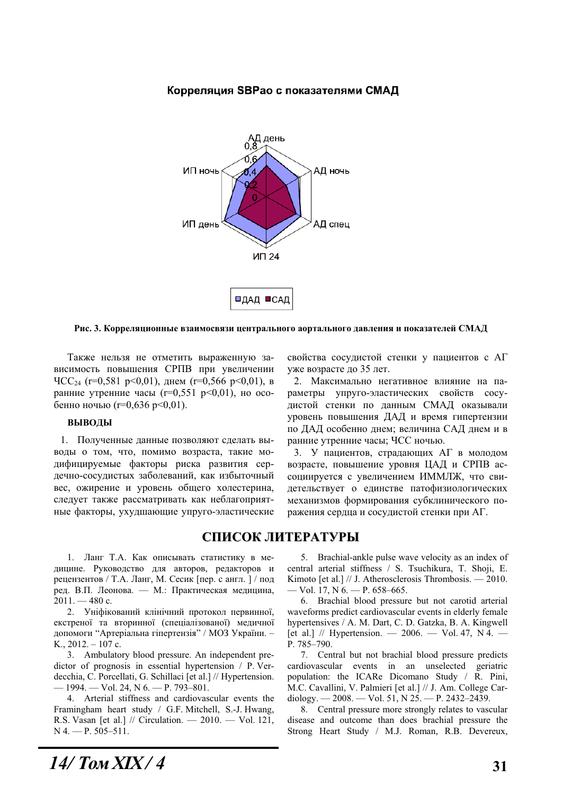Д день ИП ночь АД ночь АД спец ИП день **VIT 24** □ДАД ■САД

### Корреляция SBPao с показателями СМАД

Рис. 3. Корреляционные взаимосвязи центрального аортального давления и показателей СМАД

Также нельзя не отметить выраженную зависимость повышения СРПВ при увеличении  $\text{VCC}_{24}$  (r=0,581 p<0,01), днем (r=0,566 p<0,01), в ранние утренние часы (r=0,551 p<0,01), но особенно ночью (r=0,636 p<0,01).

#### **ВЫВОДЫ**

1. Полученные данные позволяют сделать выводы о том, что, помимо возраста, такие модифицируемые факторы риска развития сердечно-сосудистых заболеваний, как избыточный вес, ожирение и уровень общего холестерина, следует также рассматривать как неблагоприятные факторы, ухудшающие упруго-эластические свойства сосудистой стенки у пациентов с АГ уже возрасте до 35 лет.

2. Максимально негативное влияние на параметры упруго-эластических свойств сосудистой стенки по данным СМАД оказывали уровень повышения ДАД и время гипертензии по ДАД особенно днем; величина САД днем и в ранние утренние часы; ЧСС ночью.

3. У пациентов, страдающих АГ в молодом возрасте, повышение уровня ЦАД и СРПВ ассоциируется с увеличением ИММЛЖ, что свидетельствует о единстве патофизиологических механизмов формирования субклинического поражения сердца и сосудистой стенки при АГ.

# СПИСОК ЛИТЕРАТУРЫ

1. Ланг Т.А. Как описывать статистику в медицине. Руководство для авторов, редакторов и рецензентов / Т.А. Ланг, М. Сесик [пер. с англ. ] / под ред. В.П. Леонова. — М.: Практическая медицина,  $2011. - 480$  c.

2. Уніфікований клінічний протокол первинної, екстреної та вторинної (спеціалізованої) медичної допомоги "Артеріальна гіпертензія" / МОЗ України. -K.,  $2012. - 107$  c.

3. Ambulatory blood pressure. An independent predictor of prognosis in essential hypertension / P. Verdecchia, C. Porcellati, G. Schillaci [et al.] // Hypertension.  $-1994.$  — Vol. 24, N 6. — P. 793–801.

4. Arterial stiffness and cardiovascular events the Framingham heart study / G.F. Mitchell, S.-J. Hwang, R.S. Vasan [et al.] // Circulation. — 2010. — Vol. 121,  $N$  4. – P. 505–511.

5. Brachial-ankle pulse wave velocity as an index of central arterial stiffness / S. Tsuchikura, T. Shoji, E. Kimoto [et al.]  $//$  J. Atherosclerosis Thrombosis.  $-2010$ . — Vol. 17, N 6. — P. 658–665.

6. Brachial blood pressure but not carotid arterial waveforms predict cardiovascular events in elderly female hypertensives / A. M. Dart, C. D. Gatzka, B. A. Kingwell [et al.] // Hypertension.  $- 2006. - Vol. 47, N4. -$ P. 785–790.

7. Central but not brachial blood pressure predicts cardiovascular events in an unselected geriatric population: the ICARe Dicomano Study / R. Pini, M.C. Cavallini, V. Palmieri [et al.] // J. Am. College Cardiology. — 2008. — Vol. 51, N 25. — P. 2432–2439.

8. Central pressure more strongly relates to vascular disease and outcome than does brachial pressure the Strong Heart Study / M.J. Roman, R.B. Devereux,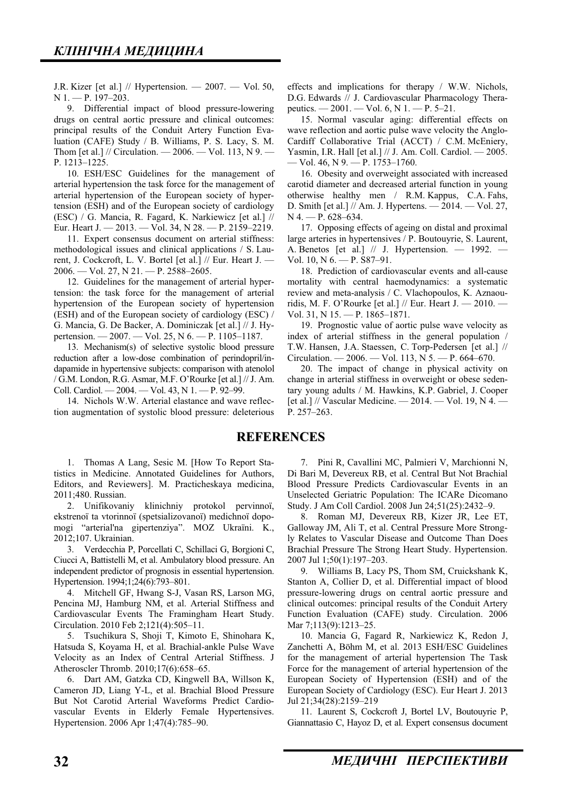J.R. Kizer [et al.]  $//$  Hypertension.  $- 2007. -$  Vol. 50, N 1. — P. 197–203.

9. Differential impact of blood pressure-lowering drugs on central aortic pressure and clinical outcomes: principal results of the Conduit Artery Function Evaluation (CAFE) Study / B. Williams, P. S. Lacy, S. M. Thom [et al.] // Circulation. — 2006. — Vol. 113, N 9. — P. 1213–1225.

10. ESH/ESC Guidelines for the management of arterial hypertension the task force for the management of arterial hypertension of the European society of hypertension (ESH) and of the European society of cardiology (ESC) / G. Mancia, R. Fagard, K. Narkiewicz [et al.] // Eur. Heart J. — 2013. — Vol. 34, N 28. — P. 2159–2219.

11. Expert consensus document on arterial stiffness: methodological issues and clinical applications / S. Laurent, J. Cockcroft, L. V. Bortel [et al.] // Eur. Heart J. — 2006. — Vol. 27, N 21. — P. 2588–2605.

12. Guidelines for the management of arterial hypertension: the task force for the management of arterial hypertension of the European society of hypertension (ESH) and of the European society of cardiology (ESC) / G. Mancia, G. De Backer, A. Dominiczak [et al.] // J. Hypertension. — 2007. — Vol. 25, N 6. — P. 1105–1187.

13. Mechanism(s) of selective systolic blood pressure reduction after a low-dose combination of perindopril/indapamide in hypertensive subjects: comparison with atenolol / G.M. London, R.G. Asmar, M.F. O'Rourke [et al.] // J. Am. Coll. Cardiol. — 2004. — Vol. 43, N 1. — P. 92–99.

14. Nichols W.W. Arterial elastance and wave reflection augmentation of systolic blood pressure: deleterious effects and implications for therapy / W.W. Nichols, D.G. Edwards // J. Cardiovascular Pharmacology Therapeutics. — 2001. — Vol. 6, N 1. — P. 5–21.

15. Normal vascular aging: differential effects on wave reflection and aortic pulse wave velocity the Anglo-Cardiff Collaborative Trial (ACCT) / C.M. McEniery, Yasmin, I.R. Hall [et al.] // J. Am. Coll. Cardiol. — 2005. — Vol. 46, N 9. — P. 1753–1760.

16. Obesity and overweight associated with increased carotid diameter and decreased arterial function in young otherwise healthy men / R.M. Kappus, C.A. Fahs, D. Smith [et al.] // Am. J. Hypertens. — 2014. — Vol. 27, N 4. - P. 628-634.

17. Opposing effects of ageing on distal and proximal large arteries in hypertensives / P. Boutouyrie, S. Laurent, A. Benetos [et al.] // J. Hypertension. — 1992. — Vol. 10, N 6. — P. S87–91.

18. Prediction of cardiovascular events and all-cause mortality with central haemodynamics: a systematic review and meta-analysis / C. Vlachopoulos, K. Aznaouridis, M. F. O'Rourke [et al.] // Eur. Heart J. — 2010. — Vol. 31, N 15. — P. 1865–1871.

19. Prognostic value of aortic pulse wave velocity as index of arterial stiffness in the general population / T.W. Hansen, J.A. Staessen, C. Torp-Pedersen [et al.] // Circulation. — 2006. — Vol. 113, N 5. — P. 664–670.

20. The impact of change in physical activity on change in arterial stiffness in overweight or obese sedentary young adults / M. Hawkins, K.P. Gabriel, J. Cooper [et al.] // Vascular Medicine. — 2014. — Vol. 19, N 4. — P. 257–263.

# **REFERENCES**

1. Thomas A Lang, Sesic M. [How To Report Statistics in Medicine. Annotated Guidelines for Authors, Editors, and Reviewers]. M. Practicheskaya medicina, 2011;480. Russian.

2. Unifikovaniy klinichniy protokol pervinnoï, ekstrenoï ta vtorinnoï (spetsializovanoï) medichnoï dopomogi "arterial'na gipertenziya". MOZ Ukraïni. K., 2012;107. Ukrainian.

3. Verdecchia P, Porcellati C, Schillaci G, Borgioni C, Ciucci A, Battistelli M, et al. Ambulatory blood pressure. An independent predictor of prognosis in essential hypertension. Hypertension. 1994;1;24(6):793–801.

4. Mitchell GF, Hwang S-J, Vasan RS, Larson MG, Pencina MJ, Hamburg NM, et al. Arterial Stiffness and Cardiovascular Events The Framingham Heart Study. Circulation. 2010 Feb 2;121(4):505–11.

5. Tsuchikura S, Shoji T, Kimoto E, Shinohara K, Hatsuda S, Koyama H, et al. Brachial-ankle Pulse Wave Velocity as an Index of Central Arterial Stiffness. J Atheroscler Thromb. 2010;17(6):658–65.

6. Dart AM, Gatzka CD, Kingwell BA, Willson K, Cameron JD, Liang Y-L, et al. Brachial Blood Pressure But Not Carotid Arterial Waveforms Predict Cardiovascular Events in Elderly Female Hypertensives. Hypertension. 2006 Apr 1;47(4):785–90.

7. Pini R, Cavallini MC, Palmieri V, Marchionni N, Di Bari M, Devereux RB, et al. Central But Not Brachial Blood Pressure Predicts Cardiovascular Events in an Unselected Geriatric Population: The ICARe Dicomano Study. J Am Coll Cardiol. 2008 Jun 24;51(25):2432–9.

8. Roman MJ, Devereux RB, Kizer JR, Lee ET, Galloway JM, Ali T, et al. Central Pressure More Strongly Relates to Vascular Disease and Outcome Than Does Brachial Pressure The Strong Heart Study. Hypertension. 2007 Jul 1;50(1):197–203.

9. Williams B, Lacy PS, Thom SM, Cruickshank K, Stanton A, Collier D, et al. Differential impact of blood pressure-lowering drugs on central aortic pressure and clinical outcomes: principal results of the Conduit Artery Function Evaluation (CAFE) study. Circulation. 2006 Mar 7;113(9):1213-25.

10. Mancia G, Fagard R, Narkiewicz K, Redon J, Zanchetti A, Böhm M, et al. 2013 ESH/ESC Guidelines for the management of arterial hypertension The Task Force for the management of arterial hypertension of the European Society of Hypertension (ESH) and of the European Society of Cardiology (ESC). Eur Heart J. 2013 Jul 21;34(28):2159–219

11. Laurent S, Cockcroft J, Bortel LV, Boutouyrie P, Giannattasio C, Hayoz D, et al. Expert consensus document